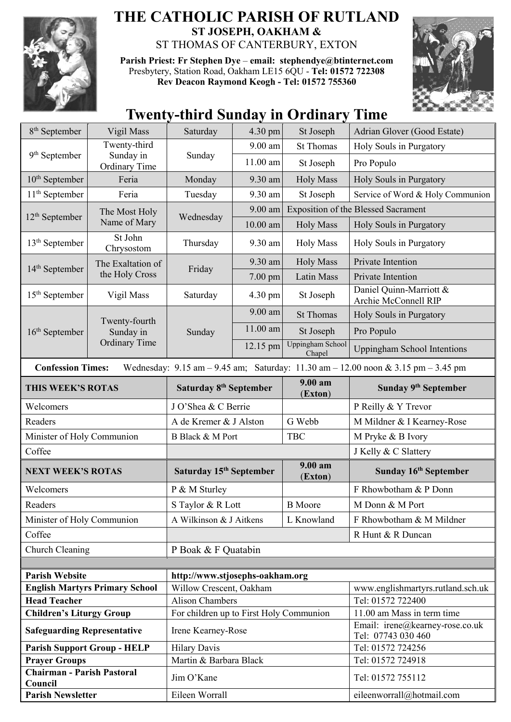

## **THE CATHOLIC PARISH OF RUTLAND ST JOSEPH, OAKHAM &**  ST THOMAS OF CANTERBURY, EXTON

**Parish Priest: Fr Stephen Dye** – **[email: stephendye@btinternet.com](mailto:email:%20%20stephendye@btinternet.com)** Presbytery, Station Road, Oakham LE15 6QU - **Tel: 01572 722308 Rev Deacon Raymond Keogh - Tel: 01572 755360**



## **Twenty-third Sunday in Ordinary Time**

| $8th$ September                                                                                               | Vigil Mass                                         | Saturday                                | 4.30 pm    | St Joseph                         | Adrian Glover (Good Estate)                           |  |  |
|---------------------------------------------------------------------------------------------------------------|----------------------------------------------------|-----------------------------------------|------------|-----------------------------------|-------------------------------------------------------|--|--|
| 9 <sup>th</sup> September                                                                                     | Twenty-third                                       | Sunday                                  | 9.00 am    | <b>St Thomas</b>                  | Holy Souls in Purgatory                               |  |  |
|                                                                                                               | Sunday in<br>Ordinary Time                         |                                         | $11.00$ am | St Joseph                         | Pro Populo                                            |  |  |
| $10th$ September                                                                                              | Feria                                              | Monday                                  | 9.30 am    | <b>Holy Mass</b>                  | Holy Souls in Purgatory                               |  |  |
| $11th$ September                                                                                              | Feria                                              | Tuesday                                 | 9.30 am    | St Joseph                         | Service of Word & Holy Communion                      |  |  |
| $12th$ September                                                                                              | The Most Holy<br>Name of Mary                      | Wednesday                               | 9.00 am    |                                   | <b>Exposition of the Blessed Sacrament</b>            |  |  |
|                                                                                                               |                                                    |                                         | $10.00$ am | <b>Holy Mass</b>                  | Holy Souls in Purgatory                               |  |  |
| $13th$ September                                                                                              | St John<br>Chrysostom                              | Thursday                                | 9.30 am    | <b>Holy Mass</b>                  | Holy Souls in Purgatory                               |  |  |
|                                                                                                               | The Exaltation of                                  | Friday                                  | 9.30 am    | <b>Holy Mass</b>                  | Private Intention                                     |  |  |
| 14 <sup>th</sup> September                                                                                    | the Holy Cross                                     |                                         | 7.00 pm    | Latin Mass                        | Private Intention                                     |  |  |
| $15th$ September                                                                                              | Vigil Mass                                         | Saturday                                | 4.30 pm    | St Joseph                         | Daniel Quinn-Marriott &<br>Archie McConnell RIP       |  |  |
|                                                                                                               | Twenty-fourth<br>Sunday in<br><b>Ordinary Time</b> | Sunday                                  | 9.00 am    | <b>St Thomas</b>                  | Holy Souls in Purgatory                               |  |  |
| $16th$ September                                                                                              |                                                    |                                         | $11.00$ am | St Joseph                         | Pro Populo                                            |  |  |
|                                                                                                               |                                                    |                                         | 12.15 pm   | <b>Uppingham School</b><br>Chapel | <b>Uppingham School Intentions</b>                    |  |  |
| Wednesday: 9.15 am - 9.45 am; Saturday: 11.30 am - 12.00 noon & 3.15 pm - 3.45 pm<br><b>Confession Times:</b> |                                                    |                                         |            |                                   |                                                       |  |  |
| THIS WEEK'S ROTAS                                                                                             |                                                    | Saturday 8 <sup>th</sup> September      |            | $9.00 a$ m<br>(Exton)             | Sunday 9 <sup>th</sup> September                      |  |  |
| Welcomers                                                                                                     |                                                    | J O'Shea & C Berrie                     |            |                                   | P Reilly & Y Trevor                                   |  |  |
| Readers                                                                                                       |                                                    | A de Kremer & J Alston                  |            | G Webb                            | M Mildner & I Kearney-Rose                            |  |  |
| Minister of Holy Communion                                                                                    |                                                    | <b>B</b> Black & M Port                 |            | <b>TBC</b>                        | M Pryke & B Ivory                                     |  |  |
| Coffee                                                                                                        |                                                    |                                         |            |                                   | J Kelly & C Slattery                                  |  |  |
| <b>NEXT WEEK'S ROTAS</b>                                                                                      |                                                    | Saturday 15th September                 |            | 9.00 am<br>(Exton)                | Sunday 16th September                                 |  |  |
| Welcomers                                                                                                     |                                                    | P & M Sturley                           |            |                                   | F Rhowbotham & P Donn                                 |  |  |
| Readers                                                                                                       |                                                    | S Taylor & R Lott                       |            | <b>B</b> Moore                    | M Donn & M Port                                       |  |  |
| Minister of Holy Communion                                                                                    |                                                    | A Wilkinson & J Aitkens                 |            | L Knowland                        | F Rhowbotham & M Mildner                              |  |  |
| Coffee                                                                                                        |                                                    |                                         |            |                                   | R Hunt & R Duncan                                     |  |  |
| Church Cleaning                                                                                               |                                                    | P Boak & F Quatabin                     |            |                                   |                                                       |  |  |
|                                                                                                               |                                                    |                                         |            |                                   |                                                       |  |  |
| <b>Parish Website</b>                                                                                         |                                                    |                                         |            |                                   |                                                       |  |  |
| <b>English Martyrs Primary School</b>                                                                         |                                                    | http://www.stjosephs-oakham.org         |            |                                   |                                                       |  |  |
|                                                                                                               |                                                    | Willow Crescent, Oakham                 |            |                                   | www.englishmartyrs.rutland.sch.uk                     |  |  |
| <b>Head Teacher</b>                                                                                           |                                                    | <b>Alison Chambers</b>                  |            |                                   | Tel: 01572 722400                                     |  |  |
| <b>Children's Liturgy Group</b>                                                                               |                                                    | For children up to First Holy Communion |            |                                   | 11.00 am Mass in term time                            |  |  |
| <b>Safeguarding Representative</b>                                                                            |                                                    | Irene Kearney-Rose                      |            |                                   | Email: irene@kearney-rose.co.uk<br>Tel: 07743 030 460 |  |  |
|                                                                                                               | <b>Parish Support Group - HELP</b>                 | <b>Hilary Davis</b>                     |            |                                   | Tel: 01572 724256                                     |  |  |
| <b>Prayer Groups</b>                                                                                          |                                                    | Martin & Barbara Black                  |            |                                   | Tel: 01572 724918                                     |  |  |
| <b>Chairman - Parish Pastoral</b><br>Council                                                                  |                                                    | Jim O'Kane                              |            |                                   | Tel: 01572 755112                                     |  |  |